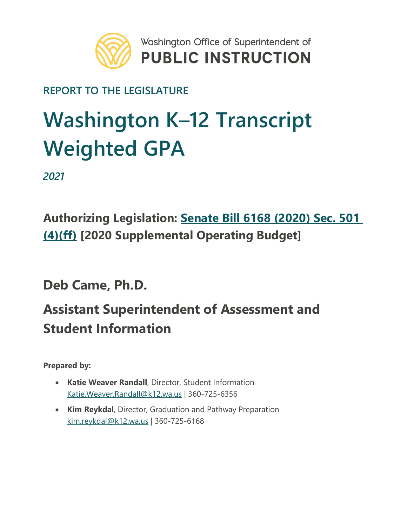

#### **REPORT TO THE LEGISLATURE**

# **Washington K–12 Transcript Weighted GPA**

*2021*

### **Authorizing Legislation: [Senate Bill 6168 \(2020\) Sec. 501](http://app.leg.wa.gov/billsummary?BillNumber=6168&Year=2019&Initiative=false)  [\(4\)\(ff\)](http://app.leg.wa.gov/billsummary?BillNumber=6168&Year=2019&Initiative=false) [2020 Supplemental Operating Budget]**

**Deb Came, Ph.D.**

### **Assistant Superintendent of Assessment and Student Information**

**Prepared by:**

- **Katie Weaver Randall**, Director, Student Information [Katie.Weaver.Randall@k12.wa.us](mailto:Katie.Weaver.Randall@k12.wa.us) | 360-725-6356
- **Kim Reykdal**, Director, Graduation and Pathway Preparation [kim.reykdal@k12.wa.us](mailto:kim.reykdal@k12.wa.us) | 360-725-6168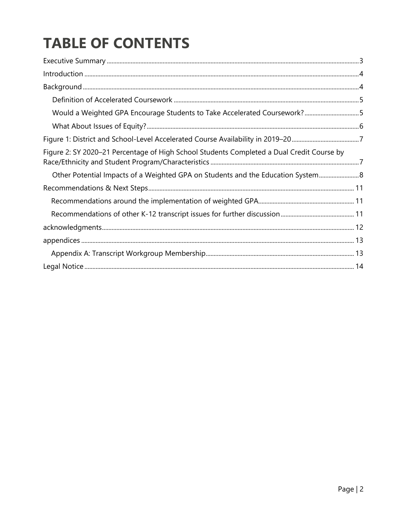## **TABLE OF CONTENTS**

| Would a Weighted GPA Encourage Students to Take Accelerated Coursework?5                  |  |
|-------------------------------------------------------------------------------------------|--|
|                                                                                           |  |
|                                                                                           |  |
| Figure 2: SY 2020-21 Percentage of High School Students Completed a Dual Credit Course by |  |
| Other Potential Impacts of a Weighted GPA on Students and the Education System 8          |  |
|                                                                                           |  |
|                                                                                           |  |
|                                                                                           |  |
|                                                                                           |  |
|                                                                                           |  |
|                                                                                           |  |
|                                                                                           |  |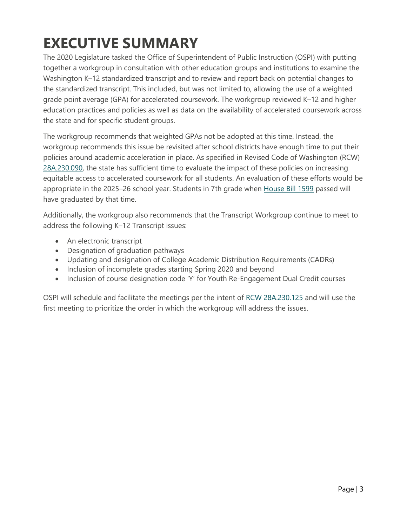### <span id="page-2-0"></span>**EXECUTIVE SUMMARY**

The 2020 Legislature tasked the Office of Superintendent of Public Instruction (OSPI) with putting together a workgroup in consultation with other education groups and institutions to examine the Washington K–12 standardized transcript and to review and report back on potential changes to the standardized transcript. This included, but was not limited to, allowing the use of a weighted grade point average (GPA) for accelerated coursework. The workgroup reviewed K–12 and higher education practices and policies as well as data on the availability of accelerated coursework across the state and for specific student groups.

The workgroup recommends that weighted GPAs not be adopted at this time. Instead, the workgroup recommends this issue be revisited after school districts have enough time to put their policies around academic acceleration in place. As specified in Revised Code of Washington (RCW) [28A.230.090,](https://apps.leg.wa.gov/RCW/default.aspx?cite=28A.230.090) the state has sufficient time to evaluate the impact of these policies on increasing equitable access to accelerated coursework for all students. An evaluation of these efforts would be appropriate in the 2025–26 school year. Students in 7th grade when [House Bill 1599](https://app.leg.wa.gov/billsummary?BillNumber=1599&Year=2019) passed will have graduated by that time.

Additionally, the workgroup also recommends that the Transcript Workgroup continue to meet to address the following K–12 Transcript issues:

- An electronic transcript
- Designation of graduation pathways
- Updating and designation of College Academic Distribution Requirements (CADRs)
- Inclusion of incomplete grades starting Spring 2020 and beyond
- Inclusion of course designation code 'Y' for Youth Re-Engagement Dual Credit courses

OSPI will schedule and facilitate the meetings per the intent of [RCW 28A.230.125](https://apps.leg.wa.gov/RCW/default.aspx?cite=28A.230.125) and will use the first meeting to prioritize the order in which the workgroup will address the issues.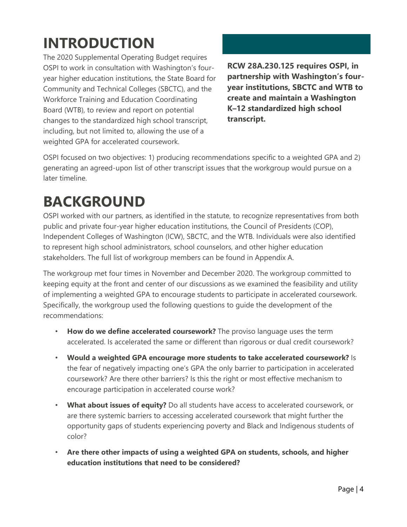## <span id="page-3-0"></span>**INTRODUCTION**

The 2020 Supplemental Operating Budget requires OSPI to work in consultation with Washington's fouryear higher education institutions, the State Board for Community and Technical Colleges (SBCTC), and the Workforce Training and Education Coordinating Board (WTB), to review and report on potential changes to the standardized high school transcript, including, but not limited to, allowing the use of a weighted GPA for accelerated coursework.

**RCW 28A.230.125 requires OSPI, in partnership with Washington's fouryear institutions, SBCTC and WTB to create and maintain a Washington K–12 standardized high school transcript.** 

OSPI focused on two objectives: 1) producing recommendations specific to a weighted GPA and 2) generating an agreed-upon list of other transcript issues that the workgroup would pursue on a later timeline.

### <span id="page-3-1"></span>**BACKGROUND**

OSPI worked with our partners, as identified in the statute, to recognize representatives from both public and private four-year higher education institutions, the Council of Presidents (COP), Independent Colleges of Washington (ICW), SBCTC, and the WTB. Individuals were also identified to represent high school administrators, school counselors, and other higher education stakeholders. The full list of workgroup members can be found in Appendix A.

The workgroup met four times in November and December 2020. The workgroup committed to keeping equity at the front and center of our discussions as we examined the feasibility and utility of implementing a weighted GPA to encourage students to participate in accelerated coursework. Specifically, the workgroup used the following questions to guide the development of the recommendations:

- **How do we define accelerated coursework?** The proviso language uses the term accelerated. Is accelerated the same or different than rigorous or dual credit coursework?
- **Would a weighted GPA encourage more students to take accelerated coursework?** Is the fear of negatively impacting one's GPA the only barrier to participation in accelerated coursework? Are there other barriers? Is this the right or most effective mechanism to encourage participation in accelerated course work?
- **What about issues of equity?** Do all students have access to accelerated coursework, or are there systemic barriers to accessing accelerated coursework that might further the opportunity gaps of students experiencing poverty and Black and Indigenous students of color?
- **Are there other impacts of using a weighted GPA on students, schools, and higher education institutions that need to be considered?**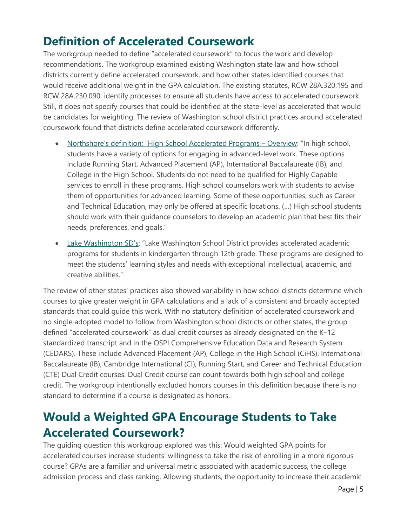#### <span id="page-4-0"></span>**Definition of Accelerated Coursework**

The workgroup needed to define "accelerated coursework" to focus the work and develop recommendations. The workgroup examined existing Washington state law and how school districts currently define accelerated coursework, and how other states identified courses that would receive additional weight in the GPA calculation. The existing statutes, RCW 28A.320.195 and RCW 28A.230.090, identify processes to ensure all students have access to accelerated coursework. Still, it does not specify courses that could be identified at the state-level as accelerated that would be candidates for weighting. The review of Washington school district practices around accelerated coursework found that districts define accelerated coursework differently.

- [Northshore's definition: "High School Accelerated Programs –](https://nam02.safelinks.protection.outlook.com/?url=https%3A%2F%2Fwww.nsd.org%2Fschools%2Fprograms-services%2Fhighly-capable-services%2Fservices-programs%2Fhigh-school-accelerated-programs&data=04%7C01%7CKatie.Weaver.Randall%40k12.wa.us%7C754f1764be464452153408d890051994%7Cb2fe5ccf10a546feae45a0267412af7a%7C0%7C0%7C637417698892111418%7CUnknown%7CTWFpbGZsb3d8eyJWIjoiMC4wLjAwMDAiLCJQIjoiV2luMzIiLCJBTiI6Ik1haWwiLCJXVCI6Mn0%3D%7C1000&sdata=pHQkWsa53xOYPRAHMJilmD%2BOCZryMgnOM7E%2FDZkjGLY%3D&reserved=0) Overview: "In high school, students have a variety of options for engaging in advanced-level work. These options include Running Start, Advanced Placement (AP), International Baccalaureate (IB), and College in the High School. Students do not need to be qualified for Highly Capable services to enroll in these programs. High school counselors work with students to advise them of opportunities for advanced learning. Some of these opportunities, such as Career and Technical Education, may only be offered at specific locations. (…) High school students should work with their guidance counselors to develop an academic plan that best fits their needs, preferences, and goals."
- [Lake Washington SD's:](https://nam02.safelinks.protection.outlook.com/?url=https%3A%2F%2Fwww.lwsd.org%2Fprograms-and-services%2Faccelerated-programs&data=04%7C01%7CKatie.Weaver.Randall%40k12.wa.us%7C754f1764be464452153408d890051994%7Cb2fe5ccf10a546feae45a0267412af7a%7C0%7C0%7C637417698892121411%7CUnknown%7CTWFpbGZsb3d8eyJWIjoiMC4wLjAwMDAiLCJQIjoiV2luMzIiLCJBTiI6Ik1haWwiLCJXVCI6Mn0%3D%7C1000&sdata=T3980wM22AThtgx%2B4VXhpUkLQjb8psmD9PVh4geJZ5g%3D&reserved=0) "Lake Washington School District provides accelerated academic programs for students in kindergarten through 12th grade. These programs are designed to meet the students' learning styles and needs with exceptional intellectual, academic, and creative abilities."

The review of other states' practices also showed variability in how school districts determine which courses to give greater weight in GPA calculations and a lack of a consistent and broadly accepted standards that could guide this work. With no statutory definition of accelerated coursework and no single adopted model to follow from Washington school districts or other states, the group defined "accelerated coursework" as dual credit courses as already designated on the K–12 standardized transcript and in the OSPI Comprehensive Education Data and Research System (CEDARS). These include Advanced Placement (AP), College in the High School (CiHS), International Baccalaureate (IB), Cambridge International (CI), Running Start, and Career and Technical Education (CTE) Dual Credit courses. Dual Credit course can count towards both high school and college credit. The workgroup intentionally excluded honors courses in this definition because there is no standard to determine if a course is designated as honors.

#### <span id="page-4-1"></span>**Would a Weighted GPA Encourage Students to Take Accelerated Coursework?**

The guiding question this workgroup explored was this: Would weighted GPA points for accelerated courses increase students' willingness to take the risk of enrolling in a more rigorous course? GPAs are a familiar and universal metric associated with academic success, the college admission process and class ranking. Allowing students, the opportunity to increase their academic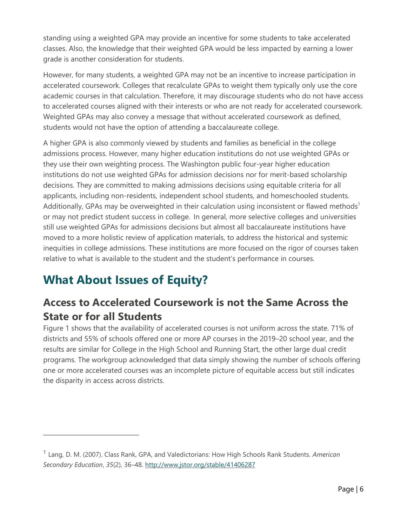standing using a weighted GPA may provide an incentive for some students to take accelerated classes. Also, the knowledge that their weighted GPA would be less impacted by earning a lower grade is another consideration for students.

However, for many students, a weighted GPA may not be an incentive to increase participation in accelerated coursework. Colleges that recalculate GPAs to weight them typically only use the core academic courses in that calculation. Therefore, it may discourage students who do not have access to accelerated courses aligned with their interests or who are not ready for accelerated coursework. Weighted GPAs may also convey a message that without accelerated coursework as defined, students would not have the option of attending a baccalaureate college.

A higher GPA is also commonly viewed by students and families as beneficial in the college admissions process. However, many higher education institutions do not use weighted GPAs or they use their own weighting process. The Washington public four-year higher education institutions do not use weighted GPAs for admission decisions nor for merit-based scholarship decisions. They are committed to making admissions decisions using equitable criteria for all applicants, including non-residents, independent school students, and homeschooled students. Additionally, GPAs may be overweighted in their calculation using inconsistent or flawed methods<sup>1</sup> or may not predict student success in college. In general, more selective colleges and universities still use weighted GPAs for admissions decisions but almost all baccalaureate institutions have moved to a more holistic review of application materials, to address the historical and systemic inequities in college admissions. These institutions are more focused on the rigor of courses taken relative to what is available to the student and the student's performance in courses.

### <span id="page-5-0"></span>**What About Issues of Equity?**

#### **Access to Accelerated Coursework is not the Same Across the State or for all Students**

Figure 1 shows that the availability of accelerated courses is not uniform across the state. 71% of districts and 55% of schools offered one or more AP courses in the 2019–20 school year, and the results are similar for College in the High School and Running Start, the other large dual credit programs. The workgroup acknowledged that data simply showing the number of schools offering one or more accelerated courses was an incomplete picture of equitable access but still indicates the disparity in access across districts.

<sup>1</sup> Lang, D. M. (2007). Class Rank, GPA, and Valedictorians: How High Schools Rank Students. *American Secondary Education*, *35*(2), 36–48.<http://www.jstor.org/stable/41406287>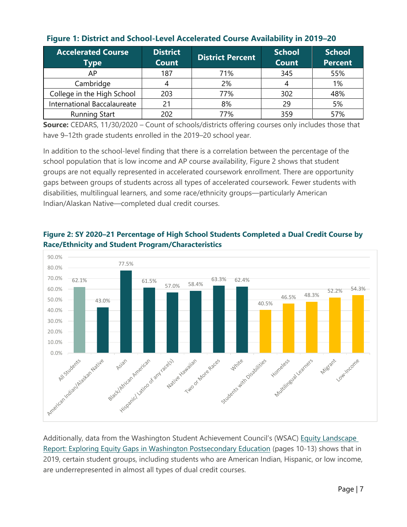| <b>Accelerated Course</b><br>Type | <b>District</b><br><b>Count</b> | <b>District Percent</b> | <b>School</b><br><b>Count</b> | <b>School</b><br><b>Percent</b> |
|-----------------------------------|---------------------------------|-------------------------|-------------------------------|---------------------------------|
| AP                                | 187                             | 71%                     | 345                           | 55%                             |
| Cambridge                         |                                 | 2%                      |                               | 1%                              |
| College in the High School        | 203                             | 77%                     | 302                           | 48%                             |
| International Baccalaureate       | 21                              | 8%                      | 29                            | 5%                              |
| <b>Running Start</b>              | 202                             | 77%                     | 359                           | 57%                             |

#### <span id="page-6-0"></span>**Figure 1: District and School-Level Accelerated Course Availability in 2019–20**

**Source:** CEDARS, 11/30/2020 – Count of schools/districts offering courses only includes those that have 9–12th grade students enrolled in the 2019–20 school year.

In addition to the school-level finding that there is a correlation between the percentage of the school population that is low income and AP course availability, Figure 2 shows that student groups are not equally represented in accelerated coursework enrollment. There are opportunity gaps between groups of students across all types of accelerated coursework. Fewer students with disabilities, multilingual learners, and some race/ethnicity groups—particularly American Indian/Alaskan Native—completed dual credit courses.



#### <span id="page-6-1"></span>**Figure 2: SY 2020–21 Percentage of High School Students Completed a Dual Credit Course by Race/Ethnicity and Student Program/Characteristics**

Additionally, data from the Washington Student Achievement Council's (WSAC) Equity Landscape [Report: Exploring Equity Gaps in Washington Postsecondary Education](https://wsac.wa.gov/sites/default/files/2020-10-20-Report-Equity-Landscape.pdf) (pages 10-13) shows that in 2019, certain student groups, including students who are American Indian, Hispanic, or low income, are underrepresented in almost all types of dual credit courses.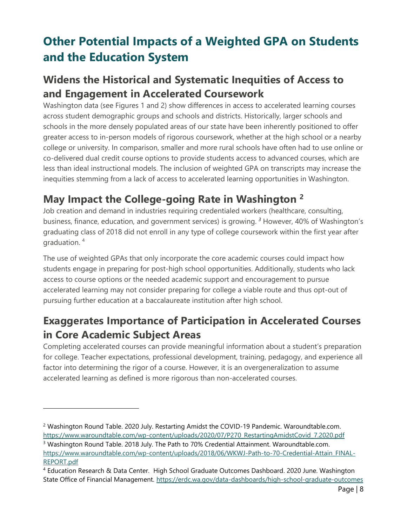### <span id="page-7-0"></span>**Other Potential Impacts of a Weighted GPA on Students and the Education System**

#### **Widens the Historical and Systematic Inequities of Access to and Engagement in Accelerated Coursework**

Washington data (see Figures 1 and 2) show differences in access to accelerated learning courses across student demographic groups and schools and districts. Historically, larger schools and schools in the more densely populated areas of our state have been inherently positioned to offer greater access to in-person models of rigorous coursework, whether at the high school or a nearby college or university. In comparison, smaller and more rural schools have often had to use online or co-delivered dual credit course options to provide students access to advanced courses, which are less than ideal instructional models. The inclusion of weighted GPA on transcripts may increase the inequities stemming from a lack of access to accelerated learning opportunities in Washington.

#### **May Impact the College-going Rate in Washington <sup>2</sup>**

Job creation and demand in industries requiring credentialed workers (healthcare, consulting, business, finance, education, and government services) is growing. *<sup>3</sup>* However, 40% of Washington's graduating class of 2018 did not enroll in any type of college coursework within the first year after graduation. 4

The use of weighted GPAs that only incorporate the core academic courses could impact how students engage in preparing for post-high school opportunities. Additionally, students who lack access to course options or the needed academic support and encouragement to pursue accelerated learning may not consider preparing for college a viable route and thus opt-out of pursuing further education at a baccalaureate institution after high school.

#### **Exaggerates Importance of Participation in Accelerated Courses in Core Academic Subject Areas**

Completing accelerated courses can provide meaningful information about a student's preparation for college. Teacher expectations, professional development, training, pedagogy, and experience all factor into determining the rigor of a course. However, it is an overgeneralization to assume accelerated learning as defined is more rigorous than non-accelerated courses.

<sup>&</sup>lt;sup>2</sup> Washington Round Table. 2020 July. Restarting Amidst the COVID-19 Pandemic. Waroundtable.com. [https://www.waroundtable.com/wp-content/uploads/2020/07/P270\\_RestartingAmidstCovid\\_7.2020.pdf](https://www.waroundtable.com/wp-content/uploads/2020/07/P270_RestartingAmidstCovid_7.2020.pdf)

<sup>&</sup>lt;sup>3</sup> Washington Round Table. 2018 July. The Path to 70% Credential Attainment. Waroundtable.com. [https://www.waroundtable.com/wp-content/uploads/2018/06/WKWJ-Path-to-70-Credential-Attain\\_FINAL-](https://www.waroundtable.com/wp-content/uploads/2018/06/WKWJ-Path-to-70-Credential-Attain_FINAL-REPORT.pdf)[REPORT.pdf](https://www.waroundtable.com/wp-content/uploads/2018/06/WKWJ-Path-to-70-Credential-Attain_FINAL-REPORT.pdf)

<sup>4</sup> Education Research & Data Center. High School Graduate Outcomes Dashboard. 2020 June. Washington State Office of Financial Management.<https://erdc.wa.gov/data-dashboards/high-school-graduate-outcomes>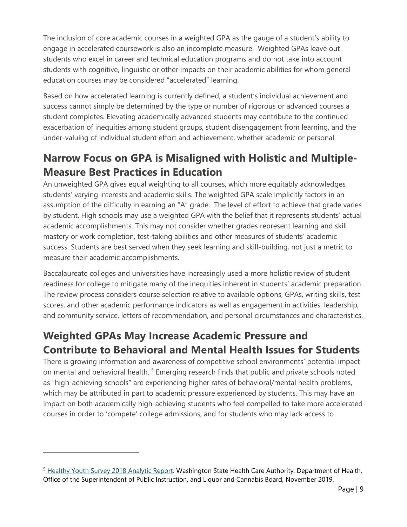The inclusion of core academic courses in a weighted GPA as the gauge of a student's ability to engage in accelerated coursework is also an incomplete measure. Weighted GPAs leave out students who excel in career and technical education programs and do not take into account students with cognitive, linguistic or other impacts on their academic abilities for whom general education courses may be considered "accelerated" learning.

Based on how accelerated learning is currently defined, a student's individual achievement and success cannot simply be determined by the type or number of rigorous or advanced courses a student completes. Elevating academically advanced students may contribute to the continued exacerbation of inequities among student groups, student disengagement from learning, and the under-valuing of individual student effort and achievement, whether academic or personal.

#### **Narrow Focus on GPA is Misaligned with Holistic and Multiple-Measure Best Practices in Education**

An unweighted GPA gives equal weighting to all courses, which more equitably acknowledges students' varying interests and academic skills. The weighted GPA scale implicitly factors in an assumption of the difficulty in earning an "A" grade. The level of effort to achieve that grade varies by student. High schools may use a weighted GPA with the belief that it represents students' actual academic accomplishments. This may not consider whether grades represent learning and skill mastery or work completion, test-taking abilities and other measures of students' academic success. Students are best served when they seek learning and skill-building, not just a metric to measure their academic accomplishments.

Baccalaureate colleges and universities have increasingly used a more holistic review of student readiness for college to mitigate many of the inequities inherent in students' academic preparation. The review process considers course selection relative to available options, GPAs, writing skills, test scores, and other academic performance indicators as well as engagement in activities, leadership, and community service, letters of recommendation, and personal circumstances and characteristics.

#### **Weighted GPAs May Increase Academic Pressure and Contribute to Behavioral and Mental Health Issues for Students**

There is growing information and awareness of competitive school environments' potential impact on mental and behavioral health.<sup>5</sup> Emerging research finds that public and private schools noted as "high-achieving schools" are experiencing higher rates of behavioral/mental health problems, which may be attributed in part to academic pressure experienced by students. This may have an impact on both academically high-achieving students who feel compelled to take more accelerated courses in order to 'compete' college admissions, and for students who may lack access to

<sup>&</sup>lt;sup>5</sup> [Healthy Youth Survey 2018 Analytic Report.](https://www.askhys.net/Docs/HYS%202018%20Analytic%20Report%20FINAL%2011-14-2019.pdf) Washington State Health Care Authority, Department of Health, Office of the Superintendent of Public Instruction, and Liquor and Cannabis Board, November 2019.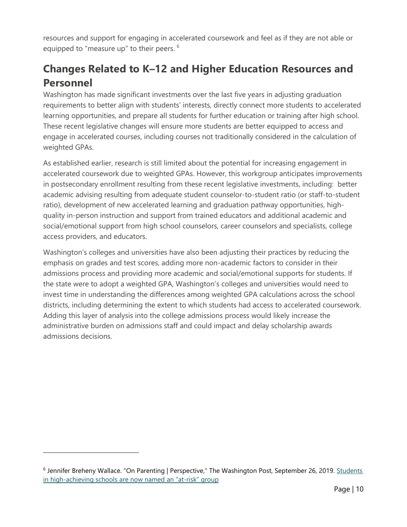resources and support for engaging in accelerated coursework and feel as if they are not able or equipped to "measure up" to their peers. <sup>6</sup>

#### **Changes Related to K–12 and Higher Education Resources and Personnel**

Washington has made significant investments over the last five years in adjusting graduation requirements to better align with students' interests, directly connect more students to accelerated learning opportunities, and prepare all students for further education or training after high school. These recent legislative changes will ensure more students are better equipped to access and engage in accelerated courses, including courses not traditionally considered in the calculation of weighted GPAs.

As established earlier, research is still limited about the potential for increasing engagement in accelerated coursework due to weighted GPAs. However, this workgroup anticipates improvements in postsecondary enrollment resulting from these recent legislative investments, including: better academic advising resulting from adequate student counselor-to-student ratio (or staff-to-student ratio), development of new accelerated learning and graduation pathway opportunities, highquality in-person instruction and support from trained educators and additional academic and social/emotional support from high school counselors, career counselors and specialists, college access providers, and educators.

<span id="page-9-0"></span>Washington's colleges and universities have also been adjusting their practices by reducing the emphasis on grades and test scores, adding more non-academic factors to consider in their admissions process and providing more academic and social/emotional supports for students. If the state were to adopt a weighted GPA, Washington's colleges and universities would need to invest time in understanding the differences among weighted GPA calculations across the school districts, including determining the extent to which students had access to accelerated coursework. Adding this layer of analysis into the college admissions process would likely increase the administrative burden on admissions staff and could impact and delay scholarship awards admissions decisions.

<sup>&</sup>lt;sup>6</sup> Jennifer Breheny Wallace. "On Parenting | Perspective," The Washington Post, September 26, 2019. Students [in high-achieving schools are now](https://www.washingtonpost.com/lifestyle/2019/09/26/students-high-achieving-schools-are-now-named-an-at-risk-group/) named an "at-risk" group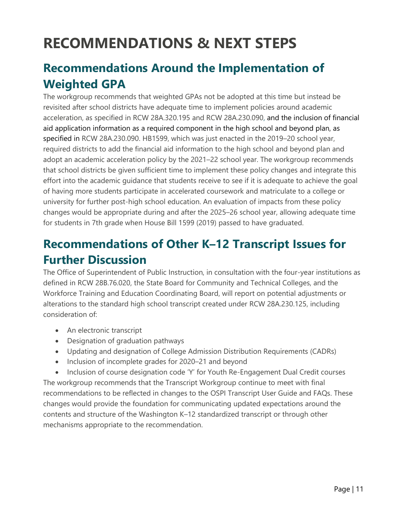### **RECOMMENDATIONS & NEXT STEPS**

#### <span id="page-10-0"></span>**Recommendations Around the Implementation of Weighted GPA**

The workgroup recommends that weighted GPAs not be adopted at this time but instead be revisited after school districts have adequate time to implement policies around academic acceleration, as specified in RCW 28A.320.195 and RCW 28A.230.090, and the inclusion of financial aid application information as a required component in the high school and beyond plan, as specified in RCW 28A.230.090. HB1599, which was just enacted in the 2019–20 school year, required districts to add the financial aid information to the high school and beyond plan and adopt an academic acceleration policy by the 2021–22 school year. The workgroup recommends that school districts be given sufficient time to implement these policy changes and integrate this effort into the academic guidance that students receive to see if it is adequate to achieve the goal of having more students participate in accelerated coursework and matriculate to a college or university for further post-high school education. An evaluation of impacts from these policy changes would be appropriate during and after the 2025–26 school year, allowing adequate time for students in 7th grade when House Bill 1599 (2019) passed to have graduated.

#### <span id="page-10-1"></span>**Recommendations of Other K–12 Transcript Issues for Further Discussion**

The Office of Superintendent of Public Instruction, in consultation with the four-year institutions as defined in RCW 28B.76.020, the State Board for Community and Technical Colleges, and the Workforce Training and Education Coordinating Board, will report on potential adjustments or alterations to the standard high school transcript created under RCW 28A.230.125, including consideration of:

- An electronic transcript
- Designation of graduation pathways
- Updating and designation of College Admission Distribution Requirements (CADRs)
- Inclusion of incomplete grades for 2020–21 and beyond

<span id="page-10-2"></span>• Inclusion of course designation code 'Y' for Youth Re-Engagement Dual Credit courses The workgroup recommends that the Transcript Workgroup continue to meet with final recommendations to be reflected in changes to the OSPI Transcript User Guide and FAQs. These changes would provide the foundation for communicating updated expectations around the contents and structure of the Washington K–12 standardized transcript or through other mechanisms appropriate to the recommendation.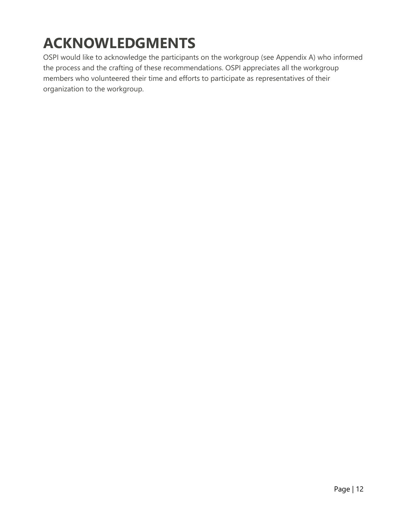## **ACKNOWLEDGMENTS**

OSPI would like to acknowledge the participants on the workgroup (see Appendix A) who informed the process and the crafting of these recommendations. OSPI appreciates all the workgroup members who volunteered their time and efforts to participate as representatives of their organization to the workgroup.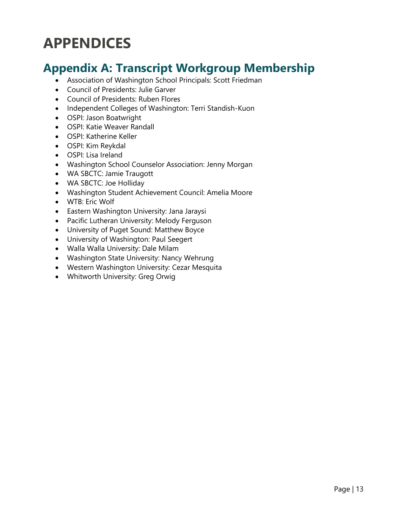### <span id="page-12-0"></span>**APPENDICES**

#### <span id="page-12-1"></span>**Appendix A: Transcript Workgroup Membership**

- Association of Washington School Principals: Scott Friedman
- Council of Presidents: Julie Garver
- Council of Presidents: Ruben Flores
- Independent Colleges of Washington: Terri Standish-Kuon
- OSPI: Jason Boatwright
- OSPI: Katie Weaver Randall
- OSPI: Katherine Keller
- OSPI: Kim Reykdal
- OSPI: Lisa Ireland
- Washington School Counselor Association: Jenny Morgan
- WA SBCTC: Jamie Traugott
- WA SBCTC: Joe Holliday
- Washington Student Achievement Council: Amelia Moore
- WTB: Eric Wolf
- Eastern Washington University: Jana Jaraysi
- Pacific Lutheran University: Melody Ferguson
- University of Puget Sound: Matthew Boyce
- University of Washington: Paul Seegert
- Walla Walla University: Dale Milam
- Washington State University: Nancy Wehrung
- Western Washington University: Cezar Mesquita
- Whitworth University: Greg Orwig